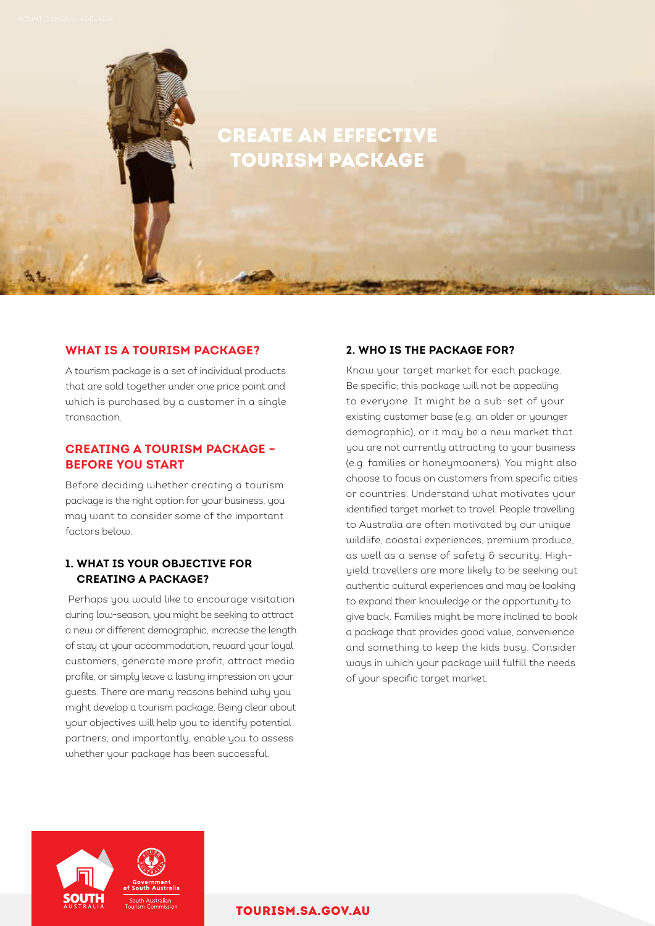# CREATE AN EFFECTIVE TOURISM PACKAGE

# **WHAT IS A TOURISM PACKAGE?**

A tourism package is a set of individual products that are sold together under one price point and which is purchased by a customer in a single transaction.

# **CREATING A TOURISM PACKAGE – BEFORE YOU START**

Before deciding whether creating a tourism package is the right option for your business, you may want to consider some of the important factors below.

# **1. WHAT IS YOUR OBJECTIVE FOR CREATING A PACKAGE?**

 Perhaps you would like to encourage visitation during low-season, you might be seeking to attract a new or different demographic, increase the length of stay at your accommodation, reward your loyal customers, generate more profit, attract media profile, or simply leave a lasting impression on your guests. There are many reasons behind why you might develop a tourism package. Being clear about your objectives will help you to identify potential partners, and importantly, enable you to assess whether your package has been successful.

# **2. WHO IS THE PACKAGE FOR?**

Know your target market for each package. Be specific; this package will not be appealing to everyone. It might be a sub-set of your existing customer base (e.g. an older or younger demographic), or it may be a new market that you are not currently attracting to your business (e.g. families or honeymooners). You might also choose to focus on customers from specific cities or countries. Understand what motivates your identified target market to travel. People travelling to Australia are often motivated by our unique wildlife, coastal experiences, premium produce, as well as a sense of safety & security. Highyield travellers are more likely to be seeking out authentic cultural experiences and may be looking to expand their knowledge or the opportunity to give back. Families might be more inclined to book a package that provides good value, convenience and something to keep the kids busy. Consider ways in which your package will fulfill the needs of your specific target market.



### [TOURISM.SA.GOV.AU](http://tourism.sa.gov.au)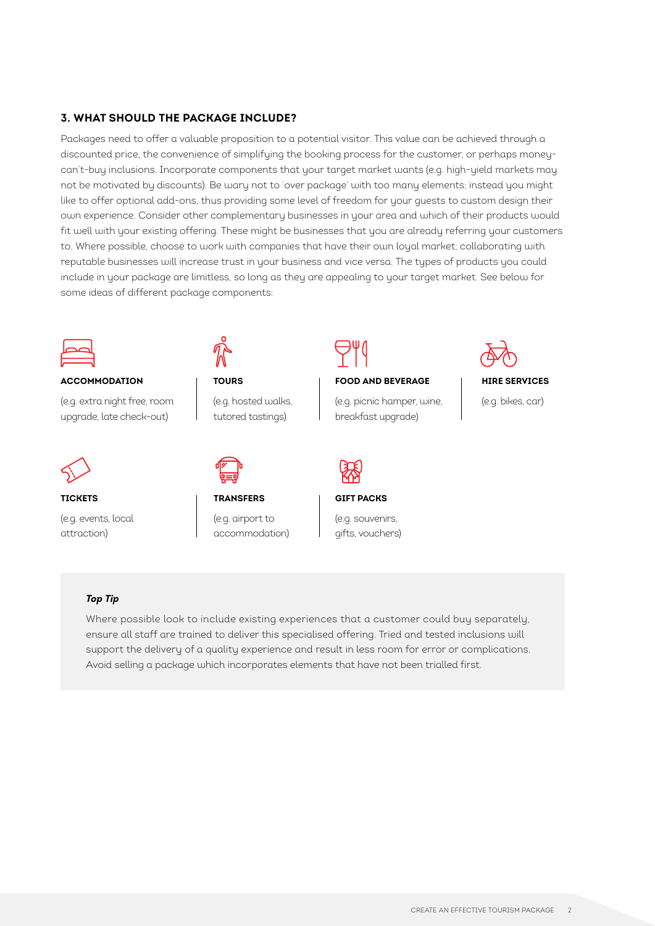#### **3. WHAT SHOULD THE PACKAGE INCLUDE?**

Packages need to offer a valuable proposition to a potential visitor. This value can be achieved through a discounted price, the convenience of simplifying the booking process for the customer, or perhaps moneycan't-buy inclusions. Incorporate components that your target market wants (e.g. high-yield markets may not be motivated by discounts). Be wary not to 'over package' with too many elements; instead you might like to offer optional add-ons, thus providing some level of freedom for your guests to custom design their own experience. Consider other complementary businesses in your area and which of their products would fit well with your existing offering. These might be businesses that you are already referring your customers to. Where possible, choose to work with companies that have their own loyal market; collaborating with reputable businesses will increase trust in your business and vice versa. The types of products you could include in your package are limitless, so long as they are appealing to your target market. See below for some ideas of different package components:



#### **ACCOMMODATION**

(e.g. extra night free, room upgrade, late check-out)



**TICKETS** 

(e.g. events, local attraction)



**TOURS**  (e.g. hosted walks,

tutored tastings)



(e.g. airport to accommodation)

**FOOD AND BEVERAGE** 

(e.g. picnic hamper, wine, breakfast upgrade)



#### **HIRE SERVICES**

(e.g. bikes, car)



#### **GIFT PACKS**

(e.g. souvenirs, gifts, vouchers)

#### *Top Tip*

Where possible look to include existing experiences that a customer could buy separately, ensure all staff are trained to deliver this specialised offering. Tried and tested inclusions will support the delivery of a quality experience and result in less room for error or complications. Avoid selling a package which incorporates elements that have not been trialled first.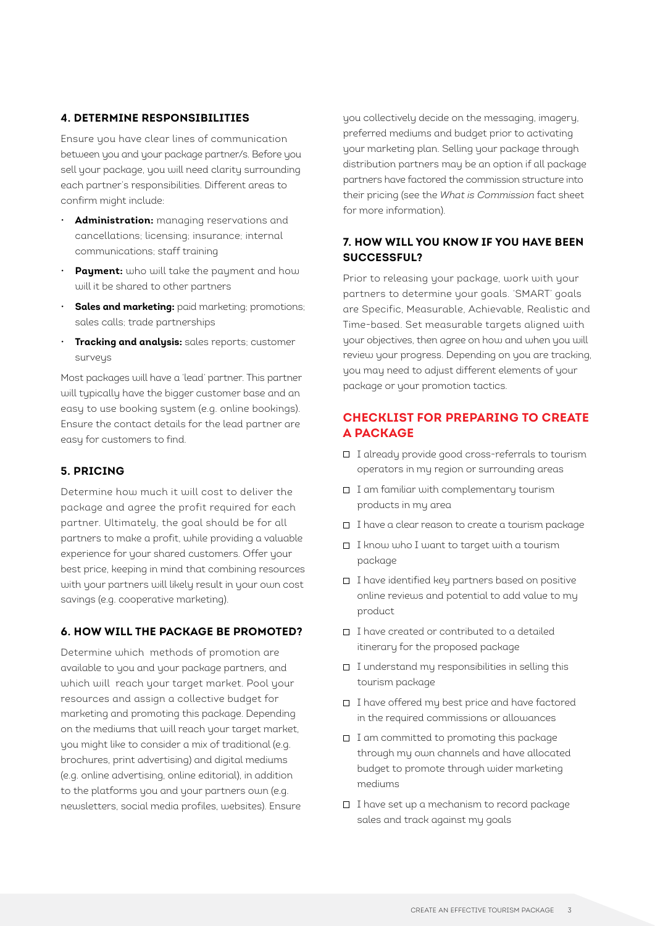## **4. DETERMINE RESPONSIBILITIES**

Ensure you have clear lines of communication between you and your package partner/s. Before you sell your package, you will need clarity surrounding each partner's responsibilities. Different areas to confirm might include:

- **Administration:** managing reservations and cancellations; licensing; insurance; internal communications; staff training
- **Payment:** who will take the payment and how will it be shared to other partners
- **Sales and marketing:** paid marketing; promotions; sales calls; trade partnerships
- **Tracking and analysis:** sales reports; customer surveus

Most packages will have a 'lead' partner. This partner will typically have the bigger customer base and an easy to use booking system (e.g. online bookings). Ensure the contact details for the lead partner are easy for customers to find.

### **5. PRICING**

Determine how much it will cost to deliver the package and agree the profit required for each partner. Ultimately, the goal should be for all partners to make a profit, while providing a valuable experience for your shared customers. Offer your best price, keeping in mind that combining resources with your partners will likely result in your own cost savings (e.g. cooperative marketing).

# **6. HOW WILL THE PACKAGE BE PROMOTED?**

Determine which methods of promotion are available to you and your package partners, and which will reach your target market. Pool your resources and assign a collective budget for marketing and promoting this package. Depending on the mediums that will reach your target market, you might like to consider a mix of traditional (e.g. brochures, print advertising) and digital mediums (e.g. online advertising, online editorial), in addition to the platforms you and your partners own (e.g. newsletters, social media profiles, websites). Ensure you collectively decide on the messaging, imagery, preferred mediums and budget prior to activating your marketing plan. Selling your package through distribution partners may be an option if all package partners have factored the commission structure into their pricing (see the *What is Commission* fact sheet for more information).

# **7. HOW WILL YOU KNOW IF YOU HAVE BEEN SUCCESSFUL?**

Prior to releasing your package, work with your partners to determine your goals. 'SMART' goals are Specific, Measurable, Achievable, Realistic and Time-based. Set measurable targets aligned with your objectives, then agree on how and when you will review your progress. Depending on you are tracking, you may need to adjust different elements of your package or your promotion tactics.

# **CHECKLIST FOR PREPARING TO CREATE A PACKAGE**

- I already provide good cross-referrals to tourism operators in my region or surrounding areas
- I am familiar with complementary tourism products in my area
- I have a clear reason to create a tourism package
- I know who I want to target with a tourism package
- I have identified key partners based on positive online reviews and potential to add value to my product
- I have created or contributed to a detailed itinerary for the proposed package
- I understand my responsibilities in selling this tourism package
- I have offered my best price and have factored in the required commissions or allowances
- I am committed to promoting this package through my own channels and have allocated budget to promote through wider marketing mediums
- $\Box$  I have set up a mechanism to record package sales and track against my goals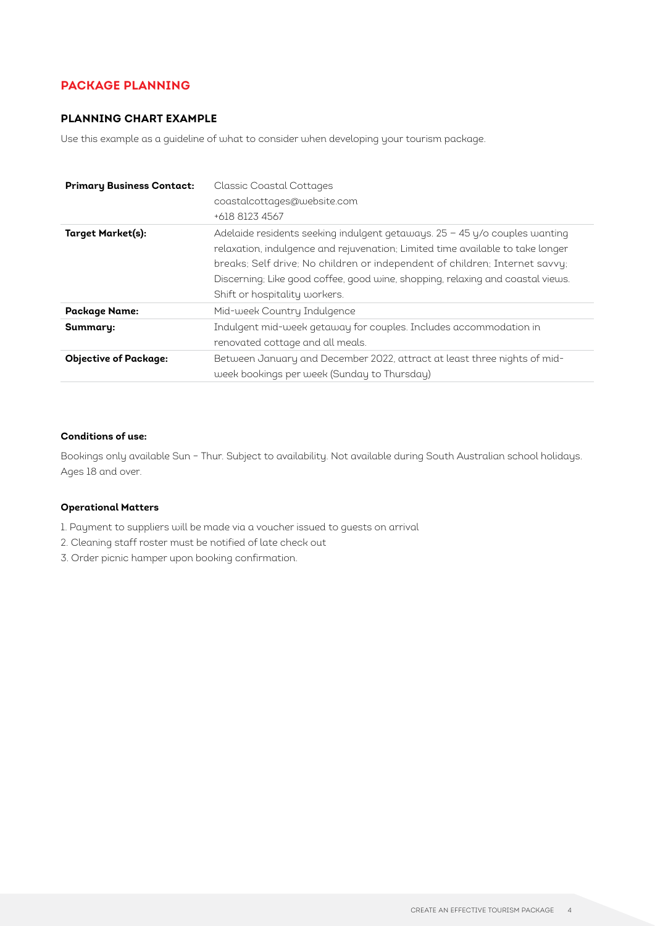# **PACKAGE PLANNING**

# **PLANNING CHART EXAMPLE**

Use this example as a guideline of what to consider when developing your tourism package.

| <b>Primary Business Contact:</b> | <b>Classic Coastal Cottages</b><br>coastalcottages@website.com<br>+618 8123 4567                                                                                                                                                                                                                                                                                 |
|----------------------------------|------------------------------------------------------------------------------------------------------------------------------------------------------------------------------------------------------------------------------------------------------------------------------------------------------------------------------------------------------------------|
| Target Market(s):                | Adelaide residents seeking indulgent getaways. $25 - 45$ y/o couples wanting<br>relaxation, indulgence and rejuvenation; Limited time available to take longer<br>breaks; Self drive; No children or independent of children; Internet savvy;<br>Discerning; Like good coffee, good wine, shopping, relaxing and coastal views.<br>Shift or hospitality workers. |
| <b>Package Name:</b>             | Mid-week Country Indulgence                                                                                                                                                                                                                                                                                                                                      |
| Summary:                         | Indulgent mid-week getaway for couples. Includes accommodation in<br>renovated cottage and all meals.                                                                                                                                                                                                                                                            |
| <b>Objective of Package:</b>     | Between January and December 2022, attract at least three nights of mid-<br>week bookings per week (Sunday to Thursday)                                                                                                                                                                                                                                          |

#### **Conditions of use:**

Bookings only available Sun – Thur. Subject to availability. Not available during South Australian school holidays. Ages 18 and over.

#### **Operational Matters**

- 1. Payment to suppliers will be made via a voucher issued to guests on arrival
- 2. Cleaning staff roster must be notified of late check out
- 3. Order picnic hamper upon booking confirmation.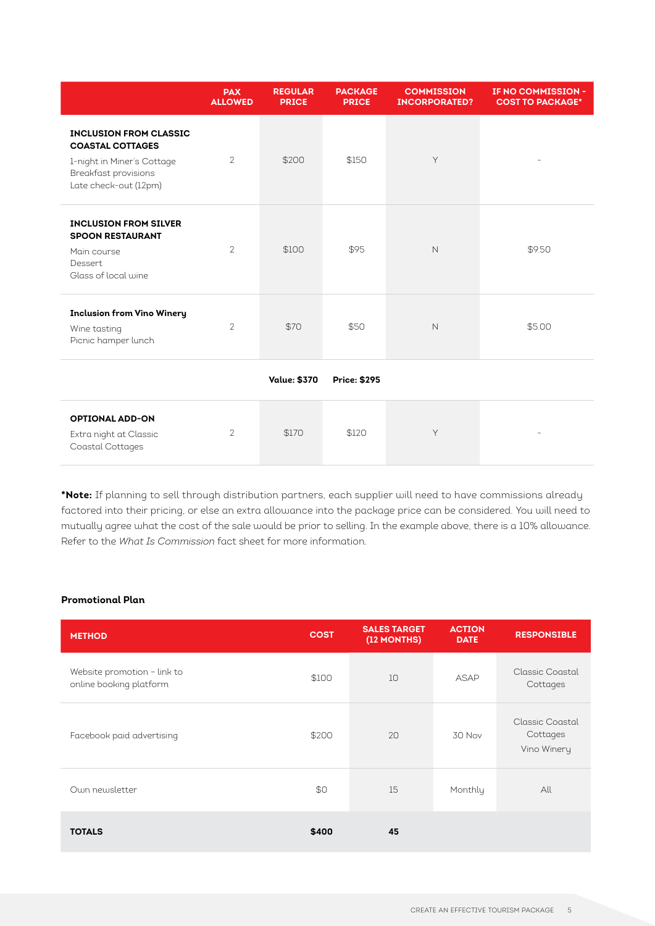|                                                                                                                                         | <b>PAX</b><br><b>ALLOWED</b> | <b>REGULAR</b><br><b>PRICE</b> | <b>PACKAGE</b><br><b>PRICE</b> | <b>COMMISSION</b><br><b>INCORPORATED?</b> | IF NO COMMISSION -<br><b>COST TO PACKAGE*</b> |
|-----------------------------------------------------------------------------------------------------------------------------------------|------------------------------|--------------------------------|--------------------------------|-------------------------------------------|-----------------------------------------------|
| <b>INCLUSION FROM CLASSIC</b><br><b>COASTAL COTTAGES</b><br>1-night in Miner's Cottage<br>Breakfast provisions<br>Late check-out (12pm) | $\overline{2}$               | \$200                          | \$150                          | Y                                         |                                               |
| <b>INCLUSION FROM SILVER</b><br><b>SPOON RESTAURANT</b><br>Main course<br>Dessert<br>Glass of local wine                                | $\overline{2}$               | \$100                          | \$95                           | $\mathsf{N}$                              | \$9.50                                        |
| <b>Inclusion from Vino Winery</b><br>Wine tasting<br>Picnic hamper lunch                                                                | $\overline{2}$               | \$70                           | \$50                           | $\mathsf{N}$                              | \$5.00                                        |
|                                                                                                                                         |                              | <b>Value: \$370</b>            | <b>Price: \$295</b>            |                                           |                                               |
| <b>OPTIONAL ADD-ON</b><br>Extra night at Classic<br>Coastal Cottages                                                                    | $\overline{2}$               | \$170                          | \$120                          | Y                                         |                                               |

**\*Note:** If planning to sell through distribution partners, each supplier will need to have commissions already factored into their pricing, or else an extra allowance into the package price can be considered. You will need to mutually agree what the cost of the sale would be prior to selling. In the example above, there is a 10% allowance. Refer to the *What Is Commission* fact sheet for more information.

#### **Promotional Plan**

| <b>METHOD</b>                                          | <b>COST</b> | <b>SALES TARGET</b><br>(12 MONTHS) | <b>ACTION</b><br><b>DATE</b> | <b>RESPONSIBLE</b>                         |
|--------------------------------------------------------|-------------|------------------------------------|------------------------------|--------------------------------------------|
| Website promotion - link to<br>online booking platform | \$100       | 10                                 | ASAP                         | Classic Coastal<br>Cottages                |
| Facebook paid advertising                              | \$200       | 20                                 | 30 Nov                       | Classic Coastal<br>Cottages<br>Vino Winery |
| Own newsletter                                         | \$0         | 15                                 | Monthly                      | All                                        |
| <b>TOTALS</b>                                          | \$400       | 45                                 |                              |                                            |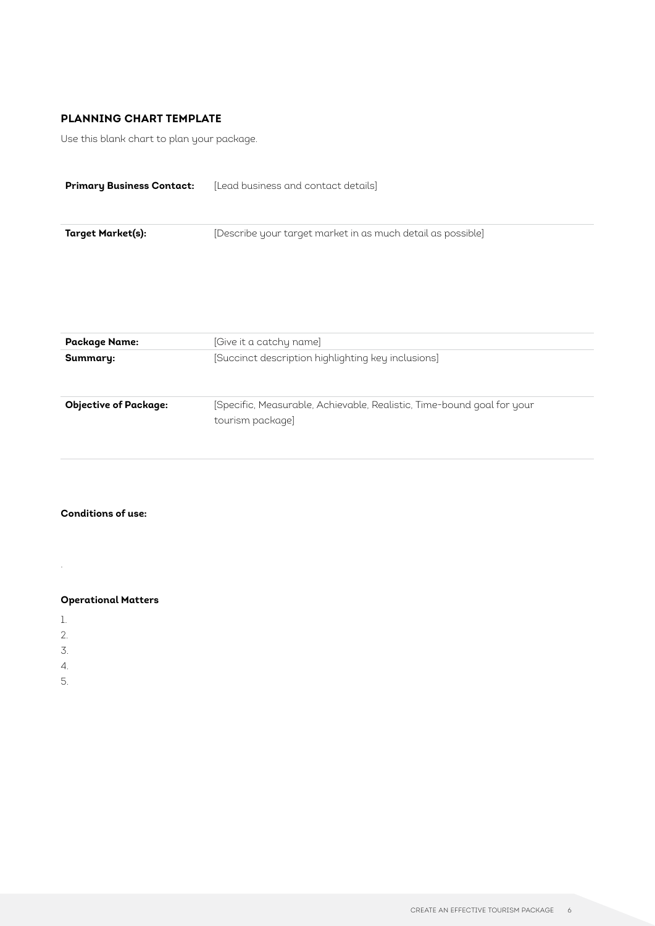# **PLANNING CHART TEMPLATE**

Use this blank chart to plan your package.

| <b>Primary Business Contact:</b> | [Lead business and contact details]                                                        |
|----------------------------------|--------------------------------------------------------------------------------------------|
| <b>Target Market(s):</b>         | [Describe your target market in as much detail as possible]                                |
| <b>Package Name:</b>             | [Give it a catchy name]                                                                    |
| Summary:                         | [Succinct description highlighting key inclusions]                                         |
| <b>Objective of Package:</b>     | [Specific, Measurable, Achievable, Realistic, Time-bound goal for your<br>tourism package] |

#### **Conditions of use:**

**Operational Matters** 

1.

.

- 2.
- 
- 3.
- 4.
- 5.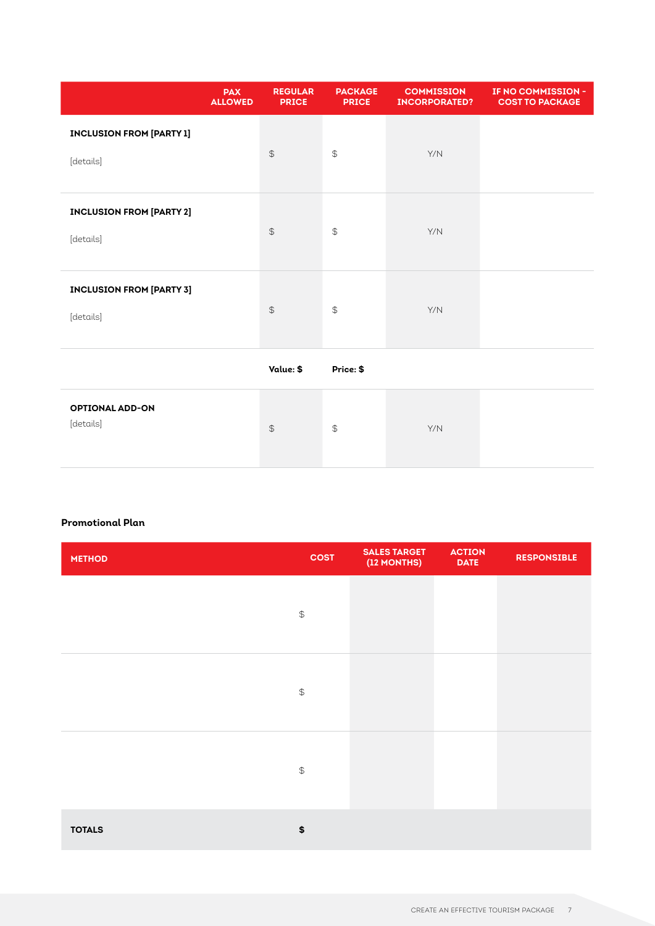|                                              | <b>PAX</b><br><b>ALLOWED</b> | <b>REGULAR</b><br><b>PRICE</b> | <b>PACKAGE</b><br><b>PRICE</b> | <b>COMMISSION</b><br><b>INCORPORATED?</b> | IF NO COMMISSION -<br><b>COST TO PACKAGE</b> |
|----------------------------------------------|------------------------------|--------------------------------|--------------------------------|-------------------------------------------|----------------------------------------------|
| <b>INCLUSION FROM [PARTY 1]</b><br>[details] |                              | $\mathfrak{P}$                 | $\mathfrak{P}$                 | Y/N                                       |                                              |
| <b>INCLUSION FROM [PARTY 2]</b><br>[details] |                              | $\mathfrak{P}$                 | $\mathfrak{P}$                 | Y/N                                       |                                              |
| <b>INCLUSION FROM [PARTY 3]</b><br>[details] |                              | $\mathfrak{P}$                 | $\mathfrak{P}$                 | Y/N                                       |                                              |
|                                              |                              | Value: \$                      | Price: \$                      |                                           |                                              |
| <b>OPTIONAL ADD-ON</b><br>[details]          |                              | $\mathfrak{P}$                 | $\mathfrak{P}$                 | Y/N                                       |                                              |

#### **Promotional Plan**

| <b>METHOD</b> | <b>COST</b>    | <b>SALES TARGET</b><br>(12 MONTHS) | <b>ACTION</b><br><b>DATE</b> | <b>RESPONSIBLE</b> |
|---------------|----------------|------------------------------------|------------------------------|--------------------|
|               | $\mathfrak{P}$ |                                    |                              |                    |
|               | $\mathfrak{P}$ |                                    |                              |                    |
|               | $\mathfrak{P}$ |                                    |                              |                    |
| <b>TOTALS</b> | \$             |                                    |                              |                    |